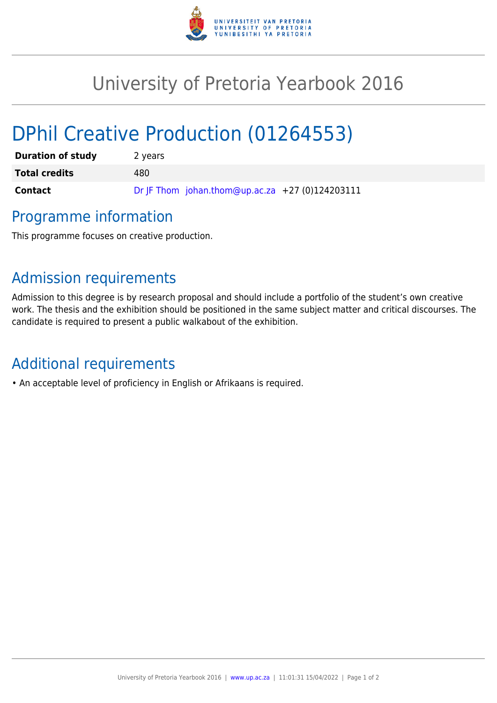

## University of Pretoria Yearbook 2016

# DPhil Creative Production (01264553)

| <b>Duration of study</b> | 2 years                                         |
|--------------------------|-------------------------------------------------|
| <b>Total credits</b>     | 480.                                            |
| Contact                  | Dr JF Thom johan.thom@up.ac.za +27 (0)124203111 |

### Programme information

This programme focuses on creative production.

### Admission requirements

Admission to this degree is by research proposal and should include a portfolio of the student's own creative work. The thesis and the exhibition should be positioned in the same subject matter and critical discourses. The candidate is required to present a public walkabout of the exhibition.

### Additional requirements

• An acceptable level of proficiency in English or Afrikaans is required.